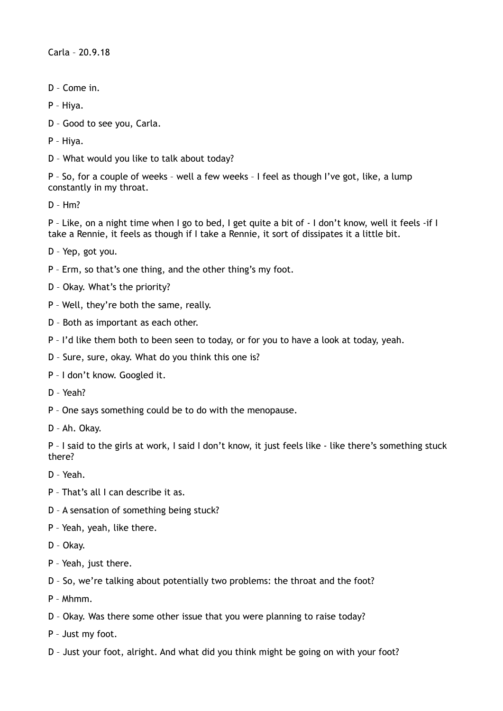Carla – 20.9.18

- D Come in.
- P Hiya.
- D Good to see you, Carla.

P – Hiya.

D – What would you like to talk about today?

P – So, for a couple of weeks – well a few weeks – I feel as though I've got, like, a lump constantly in my throat.

D – Hm?

P – Like, on a night time when I go to bed, I get quite a bit of - I don't know, well it feels -if I take a Rennie, it feels as though if I take a Rennie, it sort of dissipates it a little bit.

- D Yep, got you.
- P Erm, so that's one thing, and the other thing's my foot.
- D Okay. What's the priority?
- P Well, they're both the same, really.
- D Both as important as each other.
- P I'd like them both to been seen to today, or for you to have a look at today, yeah.
- D Sure, sure, okay. What do you think this one is?
- P I don't know. Googled it.
- D Yeah?
- P One says something could be to do with the menopause.
- D Ah. Okay.

P – I said to the girls at work, I said I don't know, it just feels like - like there's something stuck there?

- D Yeah.
- P That's all I can describe it as.
- D A sensation of something being stuck?
- P Yeah, yeah, like there.
- D Okay.
- P Yeah, just there.
- D So, we're talking about potentially two problems: the throat and the foot?
- P Mhmm.
- D Okay. Was there some other issue that you were planning to raise today?
- P Just my foot.
- D Just your foot, alright. And what did you think might be going on with your foot?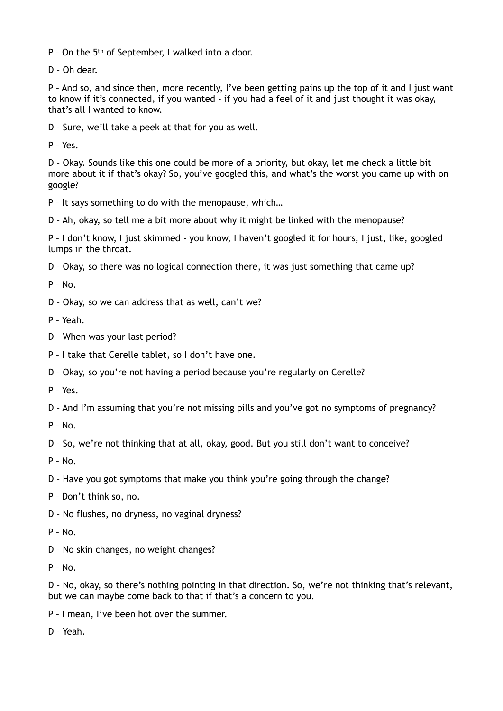P – On the 5th of September, I walked into a door.

D – Oh dear.

P – And so, and since then, more recently, I've been getting pains up the top of it and I just want to know if it's connected, if you wanted - if you had a feel of it and just thought it was okay, that's all I wanted to know.

D – Sure, we'll take a peek at that for you as well.

P – Yes.

D – Okay. Sounds like this one could be more of a priority, but okay, let me check a little bit more about it if that's okay? So, you've googled this, and what's the worst you came up with on google?

P – It says something to do with the menopause, which…

D – Ah, okay, so tell me a bit more about why it might be linked with the menopause?

P – I don't know, I just skimmed - you know, I haven't googled it for hours, I just, like, googled lumps in the throat.

D – Okay, so there was no logical connection there, it was just something that came up?

 $P - No.$ 

D – Okay, so we can address that as well, can't we?

P – Yeah.

- D When was your last period?
- P I take that Cerelle tablet, so I don't have one.
- D Okay, so you're not having a period because you're regularly on Cerelle?

P – Yes.

D – And I'm assuming that you're not missing pills and you've got no symptoms of pregnancy?

 $P - N_0$ 

D – So, we're not thinking that at all, okay, good. But you still don't want to conceive?

 $P - No.$ 

- D Have you got symptoms that make you think you're going through the change?
- P Don't think so, no.
- D No flushes, no dryness, no vaginal dryness?
- $P No.$
- D No skin changes, no weight changes?
- P No.

D – No, okay, so there's nothing pointing in that direction. So, we're not thinking that's relevant, but we can maybe come back to that if that's a concern to you.

P – I mean, I've been hot over the summer.

D – Yeah.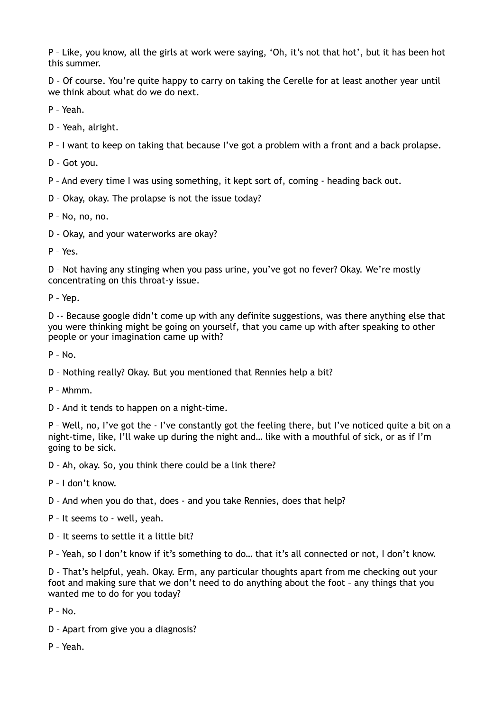P – Like, you know, all the girls at work were saying, 'Oh, it's not that hot', but it has been hot this summer.

D – Of course. You're quite happy to carry on taking the Cerelle for at least another year until we think about what do we do next.

P – Yeah.

D – Yeah, alright.

P – I want to keep on taking that because I've got a problem with a front and a back prolapse.

D – Got you.

P – And every time I was using something, it kept sort of, coming - heading back out.

D – Okay, okay. The prolapse is not the issue today?

P – No, no, no.

D – Okay, and your waterworks are okay?

P – Yes.

D – Not having any stinging when you pass urine, you've got no fever? Okay. We're mostly concentrating on this throat-y issue.

P – Yep.

D -- Because google didn't come up with any definite suggestions, was there anything else that you were thinking might be going on yourself, that you came up with after speaking to other people or your imagination came up with?

 $P - No.$ 

D – Nothing really? Okay. But you mentioned that Rennies help a bit?

P – Mhmm.

D – And it tends to happen on a night-time.

P – Well, no, I've got the - I've constantly got the feeling there, but I've noticed quite a bit on a night-time, like, I'll wake up during the night and… like with a mouthful of sick, or as if I'm going to be sick.

D – Ah, okay. So, you think there could be a link there?

P – I don't know.

D – And when you do that, does - and you take Rennies, does that help?

P – It seems to - well, yeah.

D – It seems to settle it a little bit?

P – Yeah, so I don't know if it's something to do… that it's all connected or not, I don't know.

D – That's helpful, yeah. Okay. Erm, any particular thoughts apart from me checking out your foot and making sure that we don't need to do anything about the foot – any things that you wanted me to do for you today?

 $P - No$ .

- D Apart from give you a diagnosis?
- P Yeah.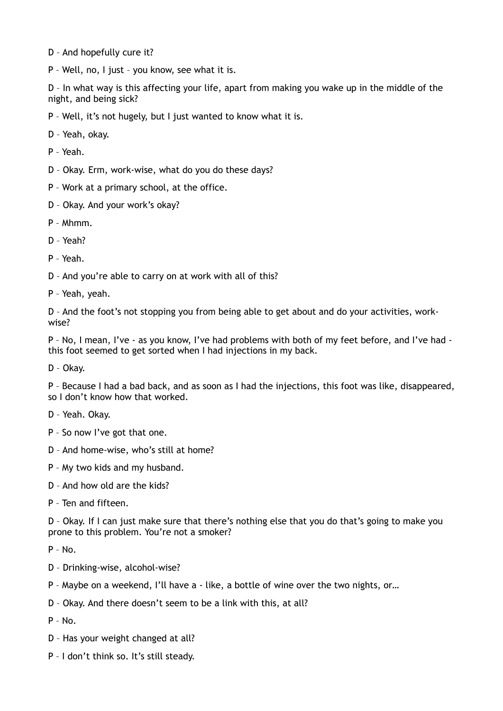- D And hopefully cure it?
- P Well, no, I just you know, see what it is.

D – In what way is this affecting your life, apart from making you wake up in the middle of the night, and being sick?

P – Well, it's not hugely, but I just wanted to know what it is.

D – Yeah, okay.

P – Yeah.

D – Okay. Erm, work-wise, what do you do these days?

P – Work at a primary school, at the office.

D – Okay. And your work's okay?

P – Mhmm.

D – Yeah?

P – Yeah.

D – And you're able to carry on at work with all of this?

P – Yeah, yeah.

D – And the foot's not stopping you from being able to get about and do your activities, workwise?

P – No, I mean, I've - as you know, I've had problems with both of my feet before, and I've had this foot seemed to get sorted when I had injections in my back.

D – Okay.

P – Because I had a bad back, and as soon as I had the injections, this foot was like, disappeared, so I don't know how that worked.

- D Yeah. Okay.
- P So now I've got that one.
- D And home-wise, who's still at home?
- P My two kids and my husband.
- D And how old are the kids?
- P Ten and fifteen.

D – Okay. If I can just make sure that there's nothing else that you do that's going to make you prone to this problem. You're not a smoker?

P – No.

- D Drinking-wise, alcohol-wise?
- P Maybe on a weekend, I'll have a like, a bottle of wine over the two nights, or…
- D Okay. And there doesn't seem to be a link with this, at all?

P – No.

- D Has your weight changed at all?
- P I don't think so. It's still steady.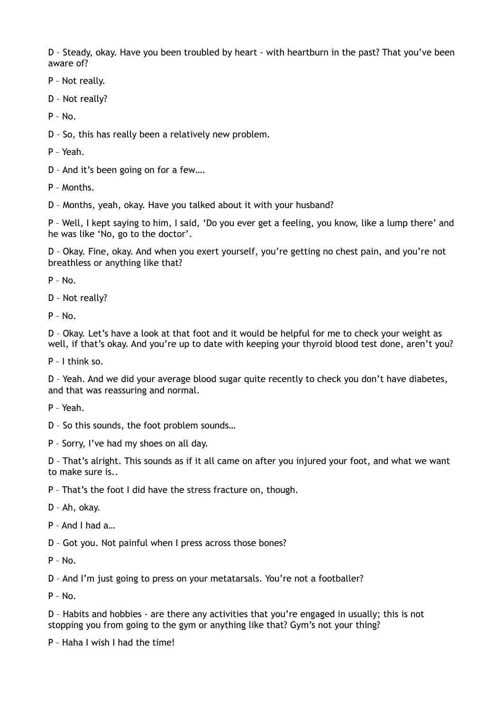D – Steady, okay. Have you been troubled by heart - with heartburn in the past? That you've been aware of?

P – Not really.

D – Not really?

 $P - No.$ 

D – So, this has really been a relatively new problem.

P – Yeah.

D – And it's been going on for a few….

P – Months.

D – Months, yeah, okay. Have you talked about it with your husband?

P – Well, I kept saying to him, I said, 'Do you ever get a feeling, you know, like a lump there' and he was like 'No, go to the doctor'.

D – Okay. Fine, okay. And when you exert yourself, you're getting no chest pain, and you're not breathless or anything like that?

 $P - No$ .

D – Not really?

 $P - No$ .

D – Okay. Let's have a look at that foot and it would be helpful for me to check your weight as well, if that's okay. And you're up to date with keeping your thyroid blood test done, aren't you?

P – I think so.

D – Yeah. And we did your average blood sugar quite recently to check you don't have diabetes, and that was reassuring and normal.

P – Yeah.

D – So this sounds, the foot problem sounds…

P – Sorry, I've had my shoes on all day.

D – That's alright. This sounds as if it all came on after you injured your foot, and what we want to make sure is..

P – That's the foot I did have the stress fracture on, though.

D – Ah, okay.

P – And I had a…

D – Got you. Not painful when I press across those bones?

 $P - No$ .

D – And I'm just going to press on your metatarsals. You're not a footballer?

P – No.

D – Habits and hobbies - are there any activities that you're engaged in usually; this is not stopping you from going to the gym or anything like that? Gym's not your thing?

P – Haha I wish I had the time!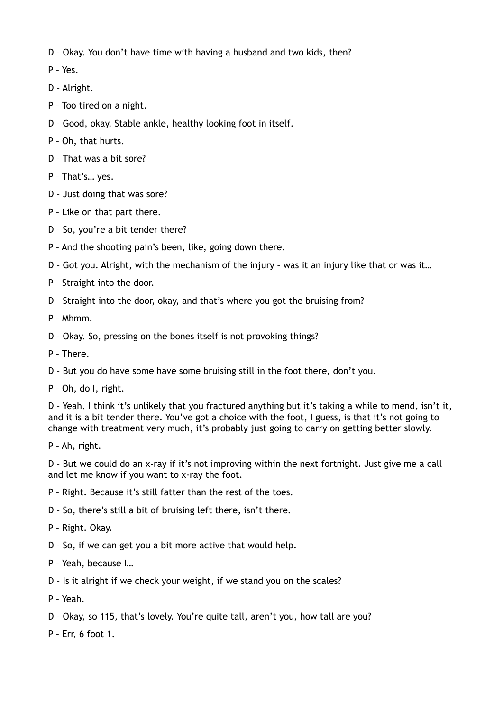D – Okay. You don't have time with having a husband and two kids, then?

- P Yes.
- D Alright.
- P Too tired on a night.
- D Good, okay. Stable ankle, healthy looking foot in itself.
- P Oh, that hurts.
- D That was a bit sore?
- P That's… yes.
- D Just doing that was sore?
- P Like on that part there.
- D So, you're a bit tender there?
- P And the shooting pain's been, like, going down there.
- D Got you. Alright, with the mechanism of the injury was it an injury like that or was it…
- P Straight into the door.
- D Straight into the door, okay, and that's where you got the bruising from?
- P Mhmm.
- D Okay. So, pressing on the bones itself is not provoking things?
- P There.
- D But you do have some have some bruising still in the foot there, don't you.
- P Oh, do I, right.

D – Yeah. I think it's unlikely that you fractured anything but it's taking a while to mend, isn't it, and it is a bit tender there. You've got a choice with the foot, I guess, is that it's not going to change with treatment very much, it's probably just going to carry on getting better slowly.

P – Ah, right.

D – But we could do an x-ray if it's not improving within the next fortnight. Just give me a call and let me know if you want to x-ray the foot.

- P Right. Because it's still fatter than the rest of the toes.
- D So, there's still a bit of bruising left there, isn't there.
- P Right. Okay.
- D So, if we can get you a bit more active that would help.
- P Yeah, because I…
- D Is it alright if we check your weight, if we stand you on the scales?
- P Yeah.
- D Okay, so 115, that's lovely. You're quite tall, aren't you, how tall are you?
- P Err, 6 foot 1.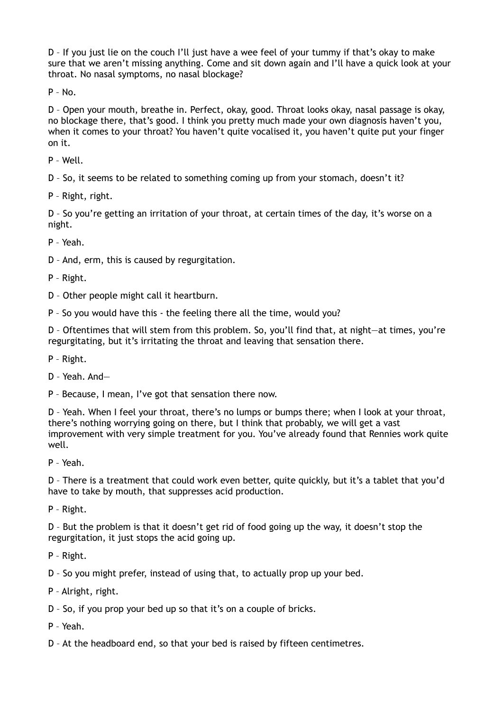D – If you just lie on the couch I'll just have a wee feel of your tummy if that's okay to make sure that we aren't missing anything. Come and sit down again and I'll have a quick look at your throat. No nasal symptoms, no nasal blockage?

 $P - No.$ 

D – Open your mouth, breathe in. Perfect, okay, good. Throat looks okay, nasal passage is okay, no blockage there, that's good. I think you pretty much made your own diagnosis haven't you, when it comes to your throat? You haven't quite vocalised it, you haven't quite put your finger on it.

P – Well.

D – So, it seems to be related to something coming up from your stomach, doesn't it?

P – Right, right.

D – So you're getting an irritation of your throat, at certain times of the day, it's worse on a night.

P – Yeah.

D – And, erm, this is caused by regurgitation.

P – Right.

D – Other people might call it heartburn.

P – So you would have this - the feeling there all the time, would you?

D – Oftentimes that will stem from this problem. So, you'll find that, at night—at times, you're regurgitating, but it's irritating the throat and leaving that sensation there.

P – Right.

D – Yeah. And—

P – Because, I mean, I've got that sensation there now.

D – Yeah. When I feel your throat, there's no lumps or bumps there; when I look at your throat, there's nothing worrying going on there, but I think that probably, we will get a vast improvement with very simple treatment for you. You've already found that Rennies work quite well.

P – Yeah.

D – There is a treatment that could work even better, quite quickly, but it's a tablet that you'd have to take by mouth, that suppresses acid production.

P – Right.

D – But the problem is that it doesn't get rid of food going up the way, it doesn't stop the regurgitation, it just stops the acid going up.

P – Right.

D – So you might prefer, instead of using that, to actually prop up your bed.

P – Alright, right.

D – So, if you prop your bed up so that it's on a couple of bricks.

P – Yeah.

D – At the headboard end, so that your bed is raised by fifteen centimetres.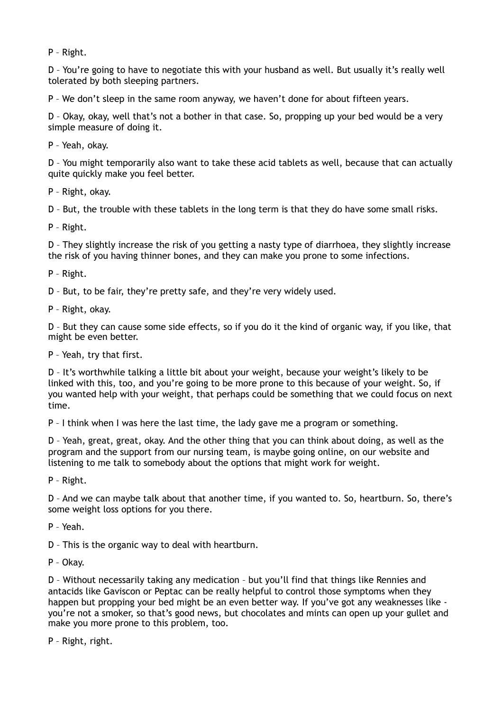P – Right.

D – You're going to have to negotiate this with your husband as well. But usually it's really well tolerated by both sleeping partners.

P – We don't sleep in the same room anyway, we haven't done for about fifteen years.

D – Okay, okay, well that's not a bother in that case. So, propping up your bed would be a very simple measure of doing it.

P – Yeah, okay.

D – You might temporarily also want to take these acid tablets as well, because that can actually quite quickly make you feel better.

P – Right, okay.

D – But, the trouble with these tablets in the long term is that they do have some small risks.

P – Right.

D – They slightly increase the risk of you getting a nasty type of diarrhoea, they slightly increase the risk of you having thinner bones, and they can make you prone to some infections.

P – Right.

D – But, to be fair, they're pretty safe, and they're very widely used.

P – Right, okay.

D – But they can cause some side effects, so if you do it the kind of organic way, if you like, that might be even better.

P – Yeah, try that first.

D – It's worthwhile talking a little bit about your weight, because your weight's likely to be linked with this, too, and you're going to be more prone to this because of your weight. So, if you wanted help with your weight, that perhaps could be something that we could focus on next time.

P – I think when I was here the last time, the lady gave me a program or something.

D – Yeah, great, great, okay. And the other thing that you can think about doing, as well as the program and the support from our nursing team, is maybe going online, on our website and listening to me talk to somebody about the options that might work for weight.

P – Right.

D – And we can maybe talk about that another time, if you wanted to. So, heartburn. So, there's some weight loss options for you there.

P – Yeah.

D – This is the organic way to deal with heartburn.

P – Okay.

D – Without necessarily taking any medication – but you'll find that things like Rennies and antacids like Gaviscon or Peptac can be really helpful to control those symptoms when they happen but propping your bed might be an even better way. If you've got any weaknesses like you're not a smoker, so that's good news, but chocolates and mints can open up your gullet and make you more prone to this problem, too.

P – Right, right.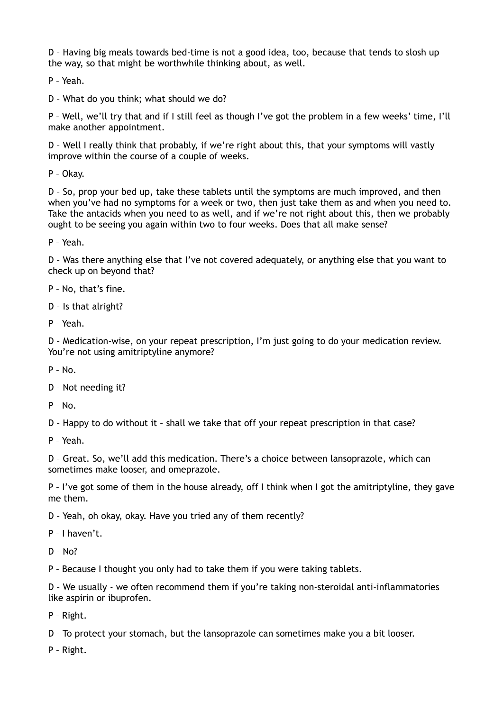D – Having big meals towards bed-time is not a good idea, too, because that tends to slosh up the way, so that might be worthwhile thinking about, as well.

P – Yeah.

D – What do you think; what should we do?

P – Well, we'll try that and if I still feel as though I've got the problem in a few weeks' time, I'll make another appointment.

D – Well I really think that probably, if we're right about this, that your symptoms will vastly improve within the course of a couple of weeks.

P – Okay.

D – So, prop your bed up, take these tablets until the symptoms are much improved, and then when you've had no symptoms for a week or two, then just take them as and when you need to. Take the antacids when you need to as well, and if we're not right about this, then we probably ought to be seeing you again within two to four weeks. Does that all make sense?

P – Yeah.

D – Was there anything else that I've not covered adequately, or anything else that you want to check up on beyond that?

P – No, that's fine.

D – Is that alright?

P – Yeah.

D – Medication-wise, on your repeat prescription, I'm just going to do your medication review. You're not using amitriptyline anymore?

 $P - No.$ 

D – Not needing it?

 $P - N_0$ 

D – Happy to do without it – shall we take that off your repeat prescription in that case?

P – Yeah.

D – Great. So, we'll add this medication. There's a choice between lansoprazole, which can sometimes make looser, and omeprazole.

P – I've got some of them in the house already, off I think when I got the amitriptyline, they gave me them.

D – Yeah, oh okay, okay. Have you tried any of them recently?

P – I haven't.

D – No?

P – Because I thought you only had to take them if you were taking tablets.

D – We usually - we often recommend them if you're taking non-steroidal anti-inflammatories like aspirin or ibuprofen.

P – Right.

D – To protect your stomach, but the lansoprazole can sometimes make you a bit looser.

P – Right.